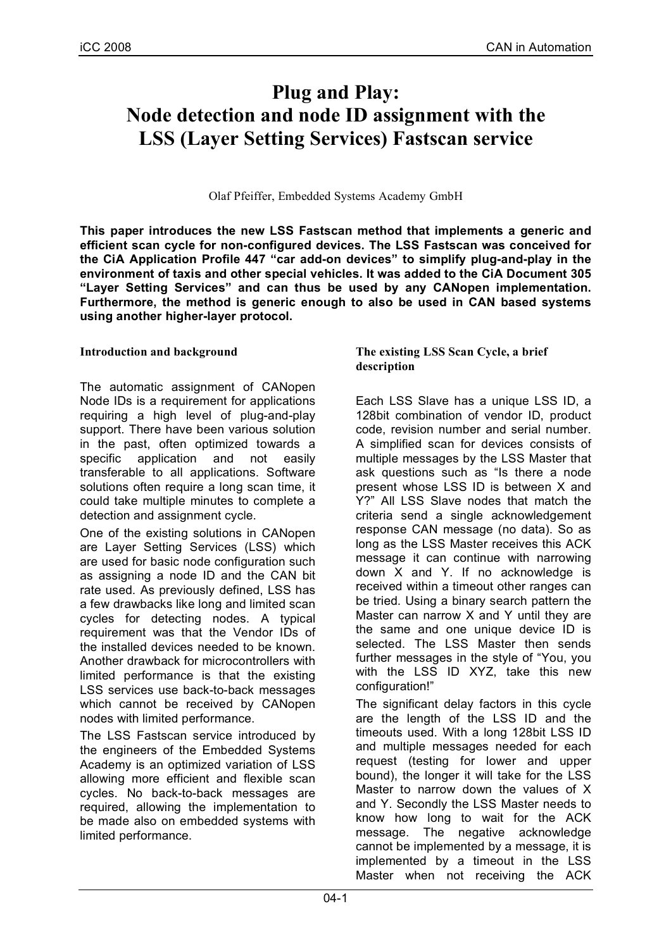# **Plug and Play: Node detection and node ID assignment with the LSS (Layer Setting Services) Fastscan service**

Olaf Pfeiffer, Embedded Systems Academy GmbH

**This paper introduces the new LSS Fastscan method that implements a generic and efficient scan cycle for non-configured devices. The LSS Fastscan was conceived for the CiA Application Profile 447 "car add-on devices" to simplify plug-and-play in the environment of taxis and other special vehicles. It was added to the CiA Document 305 "Layer Setting Services" and can thus be used by any CANopen implementation. Furthermore, the method is generic enough to also be used in CAN based systems using another higher-layer protocol.**

# **Introduction and background**

The automatic assignment of CANopen Node IDs is a requirement for applications requiring a high level of plug-and-play support. There have been various solution in the past, often optimized towards a specific application and not easily transferable to all applications. Software solutions often require a long scan time, it could take multiple minutes to complete a detection and assignment cycle.

One of the existing solutions in CANopen are Layer Setting Services (LSS) which are used for basic node configuration such as assigning a node ID and the CAN bit rate used. As previously defined, LSS has a few drawbacks like long and limited scan cycles for detecting nodes. A typical requirement was that the Vendor IDs of the installed devices needed to be known. Another drawback for microcontrollers with limited performance is that the existing LSS services use back-to-back messages which cannot be received by CANopen nodes with limited performance.

The LSS Fastscan service introduced by the engineers of the Embedded Systems Academy is an optimized variation of LSS allowing more efficient and flexible scan cycles. No back-to-back messages are required, allowing the implementation to be made also on embedded systems with limited performance.

# **The existing LSS Scan Cycle, a brief description**

Each LSS Slave has a unique LSS ID, a 128bit combination of vendor ID, product code, revision number and serial number. A simplified scan for devices consists of multiple messages by the LSS Master that ask questions such as "Is there a node present whose LSS ID is between X and Y?" All LSS Slave nodes that match the criteria send a single acknowledgement response CAN message (no data). So as long as the LSS Master receives this ACK message it can continue with narrowing down X and Y. If no acknowledge is received within a timeout other ranges can be tried. Using a binary search pattern the Master can narrow X and Y until they are the same and one unique device ID is selected. The LSS Master then sends further messages in the style of "You, you with the LSS ID XYZ, take this new configuration!"

The significant delay factors in this cycle are the length of the LSS ID and the timeouts used. With a long 128bit LSS ID and multiple messages needed for each request (testing for lower and upper bound), the longer it will take for the LSS Master to narrow down the values of X and Y. Secondly the LSS Master needs to know how long to wait for the ACK message. The negative acknowledge cannot be implemented by a message, it is implemented by a timeout in the LSS Master when not receiving the ACK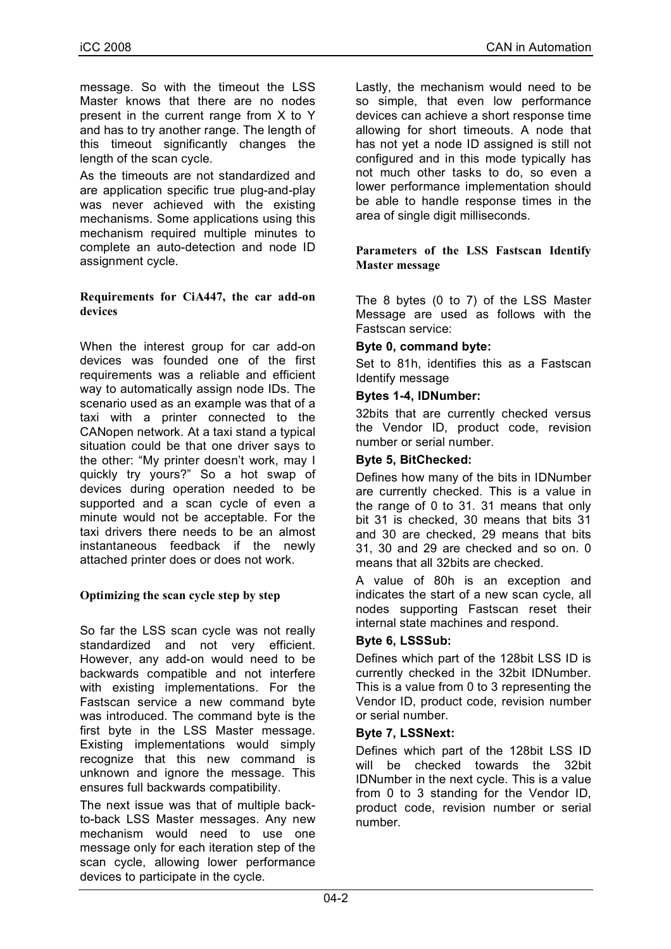message. So with the timeout the LSS Master knows that there are no nodes present in the current range from X to Y and has to try another range. The length of this timeout significantly changes the length of the scan cycle.

As the timeouts are not standardized and are application specific true plug-and-play was never achieved with the existing mechanisms. Some applications using this mechanism required multiple minutes to complete an auto-detection and node ID assignment cycle.

# **Requirements for CiA447, the car add-on devices**

When the interest group for car add-on devices was founded one of the first requirements was a reliable and efficient way to automatically assign node IDs. The scenario used as an example was that of a taxi with a printer connected to the CANopen network. At a taxi stand a typical situation could be that one driver says to the other: "My printer doesn't work, may I quickly try yours?" So a hot swap of devices during operation needed to be supported and a scan cycle of even a minute would not be acceptable. For the taxi drivers there needs to be an almost instantaneous feedback if the newly attached printer does or does not work.

# **Optimizing the scan cycle step by step**

So far the LSS scan cycle was not really standardized and not very efficient. However, any add-on would need to be backwards compatible and not interfere with existing implementations. For the Fastscan service a new command byte was introduced. The command byte is the first byte in the LSS Master message. Existing implementations would simply recognize that this new command is unknown and ignore the message. This ensures full backwards compatibility.

The next issue was that of multiple backto-back LSS Master messages. Any new mechanism would need to use one message only for each iteration step of the scan cycle, allowing lower performance devices to participate in the cycle.

Lastly, the mechanism would need to be so simple, that even low performance devices can achieve a short response time allowing for short timeouts. A node that has not yet a node ID assigned is still not configured and in this mode typically has not much other tasks to do, so even a lower performance implementation should be able to handle response times in the area of single digit milliseconds.

#### **Parameters of the LSS Fastscan Identify Master message**

The 8 bytes (0 to 7) of the LSS Master Message are used as follows with the Fastscan service:

# **Byte 0, command byte:**

Set to 81h, identifies this as a Fastscan Identify message

# **Bytes 1-4, IDNumber:**

32bits that are currently checked versus the Vendor ID, product code, revision number or serial number.

# **Byte 5, BitChecked:**

Defines how many of the bits in IDNumber are currently checked. This is a value in the range of 0 to 31. 31 means that only bit 31 is checked, 30 means that bits 31 and 30 are checked, 29 means that bits 31, 30 and 29 are checked and so on. 0 means that all 32bits are checked.

A value of 80h is an exception and indicates the start of a new scan cycle, all nodes supporting Fastscan reset their internal state machines and respond.

# **Byte 6, LSSSub:**

Defines which part of the 128bit LSS ID is currently checked in the 32bit IDNumber. This is a value from 0 to 3 representing the Vendor ID, product code, revision number or serial number.

# **Byte 7, LSSNext:**

Defines which part of the 128bit LSS ID will be checked towards the 32bit IDNumber in the next cycle. This is a value from 0 to 3 standing for the Vendor ID, product code, revision number or serial number.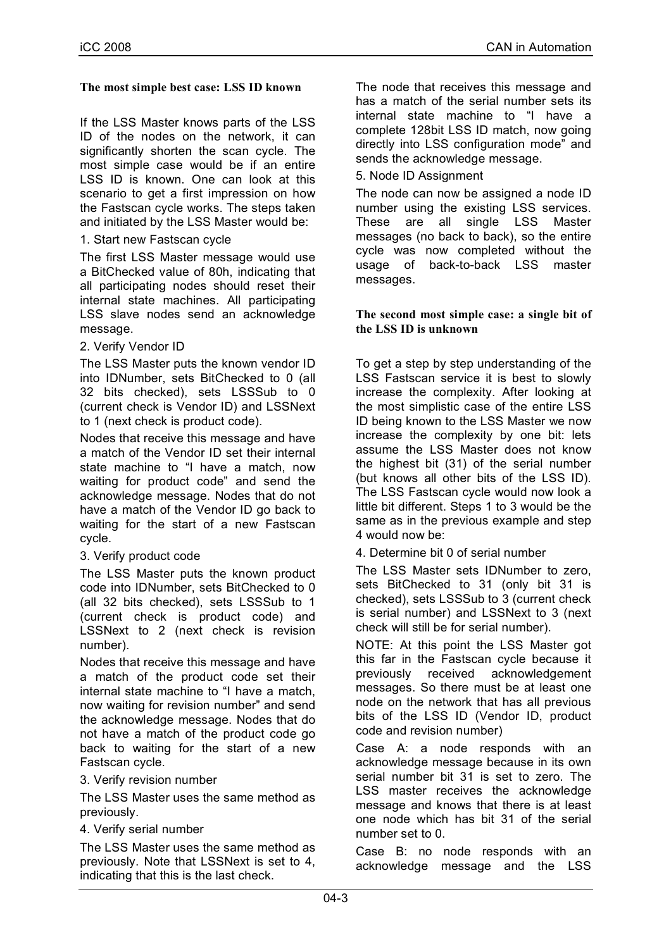#### **The most simple best case: LSS ID known**

If the LSS Master knows parts of the LSS ID of the nodes on the network, it can significantly shorten the scan cycle. The most simple case would be if an entire LSS ID is known. One can look at this scenario to get a first impression on how the Fastscan cycle works. The steps taken and initiated by the LSS Master would be:

# 1. Start new Fastscan cycle

The first LSS Master message would use a BitChecked value of 80h, indicating that all participating nodes should reset their internal state machines. All participating LSS slave nodes send an acknowledge message.

#### 2. Verify Vendor ID

The LSS Master puts the known vendor ID into IDNumber, sets BitChecked to 0 (all 32 bits checked), sets LSSSub to 0 (current check is Vendor ID) and LSSNext to 1 (next check is product code).

Nodes that receive this message and have a match of the Vendor ID set their internal state machine to "I have a match, now waiting for product code" and send the acknowledge message. Nodes that do not have a match of the Vendor ID go back to waiting for the start of a new Fastscan cycle.

# 3. Verify product code

The LSS Master puts the known product code into IDNumber, sets BitChecked to 0 (all 32 bits checked), sets LSSSub to 1 (current check is product code) and LSSNext to 2 (next check is revision number).

Nodes that receive this message and have a match of the product code set their internal state machine to "I have a match, now waiting for revision number" and send the acknowledge message. Nodes that do not have a match of the product code go back to waiting for the start of a new Fastscan cycle.

#### 3. Verify revision number

The LSS Master uses the same method as previously.

#### 4. Verify serial number

The LSS Master uses the same method as previously. Note that LSSNext is set to 4, indicating that this is the last check.

The node that receives this message and has a match of the serial number sets its internal state machine to "I have a complete 128bit LSS ID match, now going directly into LSS configuration mode" and sends the acknowledge message.

5. Node ID Assignment

The node can now be assigned a node ID number using the existing LSS services. These are all single LSS Master messages (no back to back), so the entire cycle was now completed without the usage of back-to-back LSS master messages.

#### **The second most simple case: a single bit of the LSS ID is unknown**

To get a step by step understanding of the LSS Fastscan service it is best to slowly increase the complexity. After looking at the most simplistic case of the entire LSS ID being known to the LSS Master we now increase the complexity by one bit: lets assume the LSS Master does not know the highest bit (31) of the serial number (but knows all other bits of the LSS ID). The LSS Fastscan cycle would now look a little bit different. Steps 1 to 3 would be the same as in the previous example and step 4 would now be:

4. Determine bit 0 of serial number

The LSS Master sets IDNumber to zero, sets BitChecked to 31 (only bit 31 is checked), sets LSSSub to 3 (current check is serial number) and LSSNext to 3 (next check will still be for serial number).

NOTE: At this point the LSS Master got this far in the Fastscan cycle because it previously received acknowledgement messages. So there must be at least one node on the network that has all previous bits of the LSS ID (Vendor ID, product code and revision number)

Case A: a node responds with an acknowledge message because in its own serial number bit 31 is set to zero. The LSS master receives the acknowledge message and knows that there is at least one node which has bit 31 of the serial number set to 0.

Case B: no node responds with an acknowledge message and the LSS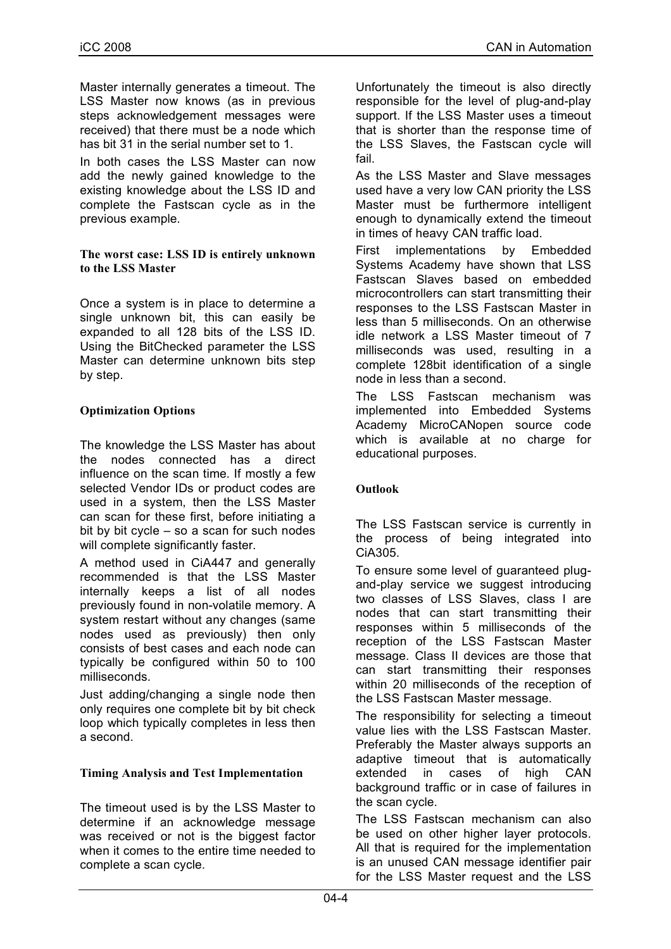Master internally generates a timeout. The LSS Master now knows (as in previous steps acknowledgement messages were received) that there must be a node which has bit 31 in the serial number set to 1.

In both cases the LSS Master can now add the newly gained knowledge to the existing knowledge about the LSS ID and complete the Fastscan cycle as in the previous example.

#### **The worst case: LSS ID is entirely unknown to the LSS Master**

Once a system is in place to determine a single unknown bit, this can easily be expanded to all 128 bits of the LSS ID. Using the BitChecked parameter the LSS Master can determine unknown bits step by step.

# **Optimization Options**

The knowledge the LSS Master has about the nodes connected has a direct influence on the scan time. If mostly a few selected Vendor IDs or product codes are used in a system, then the LSS Master can scan for these first, before initiating a bit by bit cycle – so a scan for such nodes will complete significantly faster.

A method used in CiA447 and generally recommended is that the LSS Master internally keeps a list of all nodes previously found in non-volatile memory. A system restart without any changes (same nodes used as previously) then only consists of best cases and each node can typically be configured within 50 to 100 milliseconds.

Just adding/changing a single node then only requires one complete bit by bit check loop which typically completes in less then a second.

# **Timing Analysis and Test Implementation**

The timeout used is by the LSS Master to determine if an acknowledge message was received or not is the biggest factor when it comes to the entire time needed to complete a scan cycle.

Unfortunately the timeout is also directly responsible for the level of plug-and-play support. If the LSS Master uses a timeout that is shorter than the response time of the LSS Slaves, the Fastscan cycle will fail.

As the LSS Master and Slave messages used have a very low CAN priority the LSS Master must be furthermore intelligent enough to dynamically extend the timeout in times of heavy CAN traffic load.

First implementations by Embedded Systems Academy have shown that LSS Fastscan Slaves based on embedded microcontrollers can start transmitting their responses to the LSS Fastscan Master in less than 5 milliseconds. On an otherwise idle network a LSS Master timeout of 7 milliseconds was used, resulting in a complete 128bit identification of a single node in less than a second.

The LSS Fastscan mechanism was implemented into Embedded Systems Academy MicroCANopen source code which is available at no charge for educational purposes.

# **Outlook**

The LSS Fastscan service is currently in the process of being integrated into CiA305.

To ensure some level of guaranteed plugand-play service we suggest introducing two classes of LSS Slaves, class I are nodes that can start transmitting their responses within 5 milliseconds of the reception of the LSS Fastscan Master message. Class II devices are those that can start transmitting their responses within 20 milliseconds of the reception of the LSS Fastscan Master message.

The responsibility for selecting a timeout value lies with the LSS Fastscan Master. Preferably the Master always supports an adaptive timeout that is automatically<br>extended in cases of high CAN extended in cases of high CAN background traffic or in case of failures in the scan cycle.

The LSS Fastscan mechanism can also be used on other higher layer protocols. All that is required for the implementation is an unused CAN message identifier pair for the LSS Master request and the LSS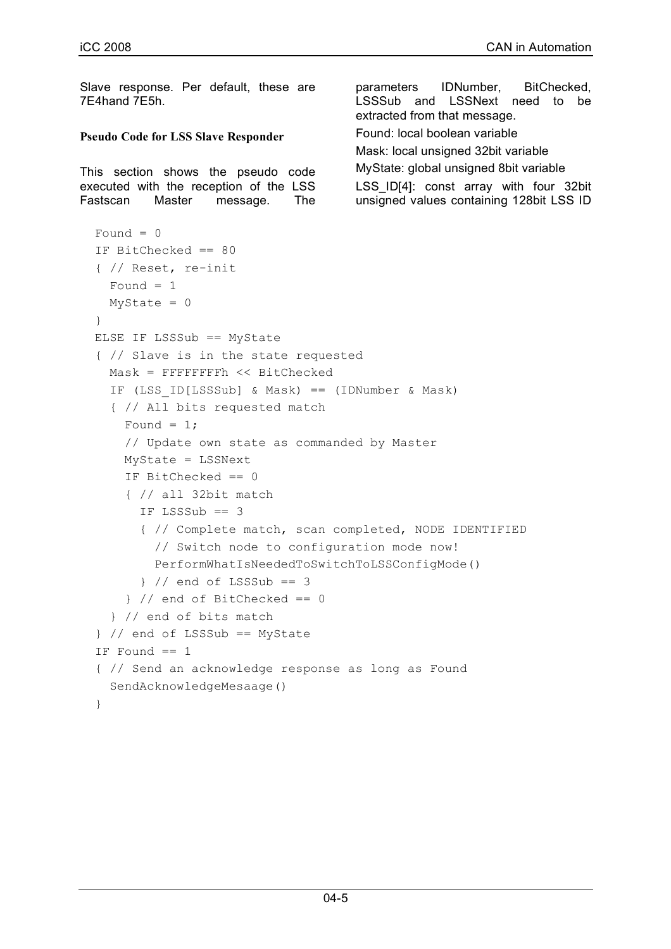Slave response. Per default, these are 7E4hand 7E5h. **Pseudo Code for LSS Slave Responder** This section shows the pseudo code executed with the reception of the LSS Fastscan Master message. The parameters IDNumber, BitChecked, LSSSub and LSSNext need to be extracted from that message. Found: local boolean variable Mask: local unsigned 32bit variable MyState: global unsigned 8bit variable LSS ID[4]: const array with four 32bit unsigned values containing 128bit LSS ID Found  $= 0$  IF BitChecked == 80 { // Reset, re-init Found  $= 1$  $MyState = 0$  } ELSE IF LSSSub == MyState { // Slave is in the state requested Mask = FFFFFFFFh << BitChecked IF (LSS\_ID[LSSSub] & Mask) == (IDNumber & Mask) { // All bits requested match Found =  $1$ ; // Update own state as commanded by Master MyState = LSSNext IF BitChecked == 0 { // all 32bit match IF LSSSub == 3 { // Complete match, scan completed, NODE IDENTIFIED // Switch node to configuration mode now! PerformWhatIsNeededToSwitchToLSSConfigMode() } // end of LSSSub == 3 } // end of BitChecked == 0 } // end of bits match } // end of LSSSub == MyState IF Found  $== 1$  { // Send an acknowledge response as long as Found SendAcknowledgeMesaage() }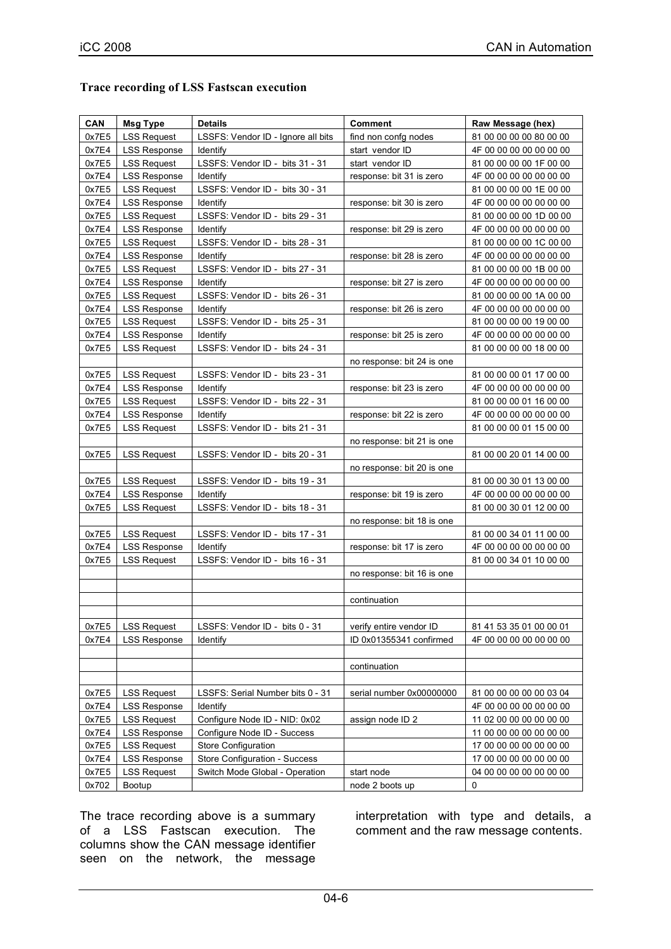| CAN   | Msg Type            | <b>Details</b>                     | <b>Comment</b>             | Raw Message (hex)       |
|-------|---------------------|------------------------------------|----------------------------|-------------------------|
| 0x7E5 | <b>LSS Request</b>  | LSSFS: Vendor ID - Ignore all bits | find non confq nodes       | 81 00 00 00 00 80 00 00 |
| 0x7E4 | <b>LSS Response</b> | Identify                           | start vendor ID            | 4F 00 00 00 00 00 00 00 |
| 0x7E5 | <b>LSS Request</b>  | LSSFS: Vendor ID - bits 31 - 31    | start vendor ID            | 81 00 00 00 00 1F 00 00 |
| 0x7E4 | <b>LSS Response</b> | Identify                           | response: bit 31 is zero   | 4F 00 00 00 00 00 00 00 |
| 0x7E5 | <b>LSS Request</b>  | LSSFS: Vendor ID - bits 30 - 31    |                            | 81 00 00 00 00 1E 00 00 |
| 0x7E4 | <b>LSS Response</b> | Identify                           | response: bit 30 is zero   | 4F 00 00 00 00 00 00 00 |
| 0x7E5 | <b>LSS Request</b>  | LSSFS: Vendor ID - bits 29 - 31    |                            | 81 00 00 00 00 1D 00 00 |
| 0x7E4 | <b>LSS Response</b> | Identify                           | response: bit 29 is zero   | 4F 00 00 00 00 00 00 00 |
| 0x7E5 | <b>LSS Request</b>  | LSSFS: Vendor ID - bits 28 - 31    |                            | 81 00 00 00 00 1C 00 00 |
| 0x7E4 | <b>LSS Response</b> | Identify                           | response: bit 28 is zero   | 4F 00 00 00 00 00 00 00 |
| 0x7E5 | <b>LSS Request</b>  | LSSFS: Vendor ID - bits 27 - 31    |                            | 81 00 00 00 00 1B 00 00 |
| 0x7E4 | <b>LSS Response</b> | Identify                           | response: bit 27 is zero   | 4F 00 00 00 00 00 00 00 |
| 0x7E5 | <b>LSS Request</b>  | LSSFS: Vendor ID - bits 26 - 31    |                            | 81 00 00 00 00 1A 00 00 |
| 0x7E4 | <b>LSS Response</b> | Identify                           | response: bit 26 is zero   | 4F 00 00 00 00 00 00 00 |
| 0x7E5 | <b>LSS Request</b>  | LSSFS: Vendor ID - bits 25 - 31    |                            | 81 00 00 00 00 19 00 00 |
| 0x7E4 | <b>LSS Response</b> | Identify                           | response: bit 25 is zero   | 4F 00 00 00 00 00 00 00 |
| 0x7E5 | <b>LSS Request</b>  | LSSFS: Vendor ID - bits 24 - 31    |                            | 81 00 00 00 00 18 00 00 |
|       |                     |                                    | no response: bit 24 is one |                         |
| 0x7E5 | <b>LSS Request</b>  | LSSFS: Vendor ID - bits 23 - 31    |                            | 81 00 00 00 01 17 00 00 |
| 0x7E4 | <b>LSS Response</b> | Identify                           | response: bit 23 is zero   | 4F 00 00 00 00 00 00 00 |
| 0x7E5 | <b>LSS Request</b>  | LSSFS: Vendor ID - bits 22 - 31    |                            | 81 00 00 00 01 16 00 00 |
| 0x7E4 | <b>LSS Response</b> | Identify                           | response: bit 22 is zero   | 4F 00 00 00 00 00 00 00 |
| 0x7E5 | <b>LSS Request</b>  | LSSFS: Vendor ID - bits 21 - 31    |                            | 81 00 00 00 01 15 00 00 |
|       |                     |                                    | no response: bit 21 is one |                         |
| 0x7E5 | <b>LSS Request</b>  | LSSFS: Vendor ID - bits 20 - 31    |                            | 81 00 00 20 01 14 00 00 |
|       |                     |                                    | no response: bit 20 is one |                         |
| 0x7E5 | <b>LSS Request</b>  | LSSFS: Vendor ID - bits 19 - 31    |                            | 81 00 00 30 01 13 00 00 |
| 0x7E4 | <b>LSS Response</b> | Identify                           | response: bit 19 is zero   | 4F 00 00 00 00 00 00 00 |
| 0x7E5 | <b>LSS Request</b>  | LSSFS: Vendor ID - bits 18 - 31    |                            | 81 00 00 30 01 12 00 00 |

#### **Trace recording of LSS Fastscan execution**

0x702 Bootup | extending node 2 boots up | 0 The trace recording above is a summary of a LSS Fastscan execution. The columns show the CAN message identifier seen on the network, the message

interpretation with type and details, a comment and the raw message contents.

no response: bit 18 is one

no response: bit 16 is one

continuation

continuation

0x7E5 | LSS Request | LSSFS: Vendor ID - bits 17 - 31 | 81 00 00 34 01 11 00 00 14 01 11 00 00 0x7E4 LSS Response Identify response: bit 17 is zero 4F 00 00 00 00 00 00 00 0x7E5 | LSS Request | LSSFS: Vendor ID - bits 16 - 31 | 81 00 00 34 01 10 00 00

 $0x7E5$  LSS Request LSSFS: Vendor ID - bits 0 - 31 verify entire vendor ID 81 41 53 35 01 00 00 01 0x7E4 LSS Response | Identify | ID 0x01355341 confirmed | 4F 00 00 00 00 00 00 00

0x7E5 | LSS Request | LSSFS: Serial Number bits 0 - 31 | serial number 0x00000000 | 81 00 00 00 00 00 03 04 0x7E4 LSS Response Identify 4F 00 00 00 00 00 00 00 0x7E5 | LSS Request | Configure Node ID - NID: 0x02 | assign node ID 2 | 11 02 00 00 00 00 00 00 00 0x7E4 LSS Response Configure Node ID - Success 11 00 00 00 00 00 00 00 0x7E5 LSS Request Store Configuration 17 00 00 00 00 00 00 00 0x7E4 LSS Response Store Configuration - Success 17 00 00 00 00 00 00 00 0x7E5 LSS Request Switch Mode Global - Operation start node 04 00 00 00 00 00 00 00